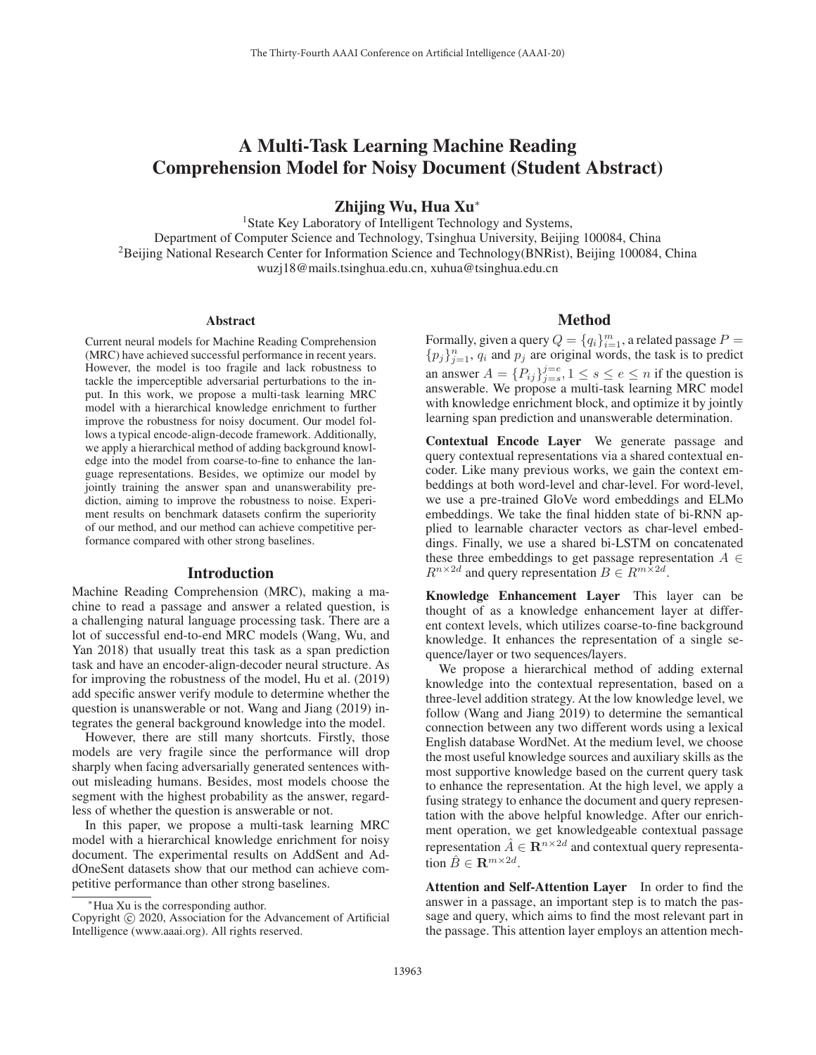# A Multi-Task Learning Machine Reading Comprehension Model for Noisy Document (Student Abstract)

Zhijing Wu, Hua Xu<sup>∗</sup>

<sup>1</sup>State Key Laboratory of Intelligent Technology and Systems, Department of Computer Science and Technology, Tsinghua University, Beijing 100084, China 2Beijing National Research Center for Information Science and Technology(BNRist), Beijing 100084, China wuzj18@mails.tsinghua.edu.cn, xuhua@tsinghua.edu.cn

#### Abstract

Current neural models for Machine Reading Comprehension (MRC) have achieved successful performance in recent years. However, the model is too fragile and lack robustness to tackle the imperceptible adversarial perturbations to the input. In this work, we propose a multi-task learning MRC model with a hierarchical knowledge enrichment to further improve the robustness for noisy document. Our model follows a typical encode-align-decode framework. Additionally, we apply a hierarchical method of adding background knowledge into the model from coarse-to-fine to enhance the language representations. Besides, we optimize our model by jointly training the answer span and unanswerability prediction, aiming to improve the robustness to noise. Experiment results on benchmark datasets confirm the superiority of our method, and our method can achieve competitive performance compared with other strong baselines.

# Introduction

Machine Reading Comprehension (MRC), making a machine to read a passage and answer a related question, is a challenging natural language processing task. There are a lot of successful end-to-end MRC models (Wang, Wu, and Yan 2018) that usually treat this task as a span prediction task and have an encoder-align-decoder neural structure. As for improving the robustness of the model, Hu et al. (2019) add specific answer verify module to determine whether the question is unanswerable or not. Wang and Jiang (2019) integrates the general background knowledge into the model.

However, there are still many shortcuts. Firstly, those models are very fragile since the performance will drop sharply when facing adversarially generated sentences without misleading humans. Besides, most models choose the segment with the highest probability as the answer, regardless of whether the question is answerable or not.

In this paper, we propose a multi-task learning MRC model with a hierarchical knowledge enrichment for noisy document. The experimental results on AddSent and AddOneSent datasets show that our method can achieve competitive performance than other strong baselines.

### Method

Formally, given a query  $Q = \{q_i\}_{i=1}^m$ , a related passage  $P = \{p_i\}_{i=1}^m$ ,  $q_i$  and  $p_i$  are original words the task is to predict  ${p_j}_{j=1}^n$ ,  $q_i$  and  $p_j$  are original words, the task is to predict an answer  $A = \{P_{ij}\}_{j=s}^{j=e}, 1 \leq s \leq e \leq n$  if the question is<br>answerable. We propose a multi-task learning MRC model answerable. We propose a multi-task learning MRC model with knowledge enrichment block, and optimize it by jointly learning span prediction and unanswerable determination.

Contextual Encode Layer We generate passage and query contextual representations via a shared contextual encoder. Like many previous works, we gain the context embeddings at both word-level and char-level. For word-level, we use a pre-trained GloVe word embeddings and ELMo embeddings. We take the final hidden state of bi-RNN applied to learnable character vectors as char-level embeddings. Finally, we use a shared bi-LSTM on concatenated these three embeddings to get passage representation  $A \in$  $R^{n\times 2d}$  and query representation  $B \in R^{m\times 2d}$ .

Knowledge Enhancement Layer This layer can be thought of as a knowledge enhancement layer at different context levels, which utilizes coarse-to-fine background knowledge. It enhances the representation of a single sequence/layer or two sequences/layers.

We propose a hierarchical method of adding external knowledge into the contextual representation, based on a three-level addition strategy. At the low knowledge level, we follow (Wang and Jiang 2019) to determine the semantical connection between any two different words using a lexical English database WordNet. At the medium level, we choose the most useful knowledge sources and auxiliary skills as the most supportive knowledge based on the current query task to enhance the representation. At the high level, we apply a fusing strategy to enhance the document and query representation with the above helpful knowledge. After our enrichment operation, we get knowledgeable contextual passage representation  $\hat{A} \in \mathbb{R}^{n \times 2d}$  and contextual query representation  $\hat{B} \in \mathbf{R}^{m \times 2d}$ .

Attention and Self-Attention Layer In order to find the answer in a passage, an important step is to match the passage and query, which aims to find the most relevant part in the passage. This attention layer employs an attention mech-

<sup>∗</sup>Hua Xu is the corresponding author.

Copyright  $\odot$  2020, Association for the Advancement of Artificial Intelligence (www.aaai.org). All rights reserved.